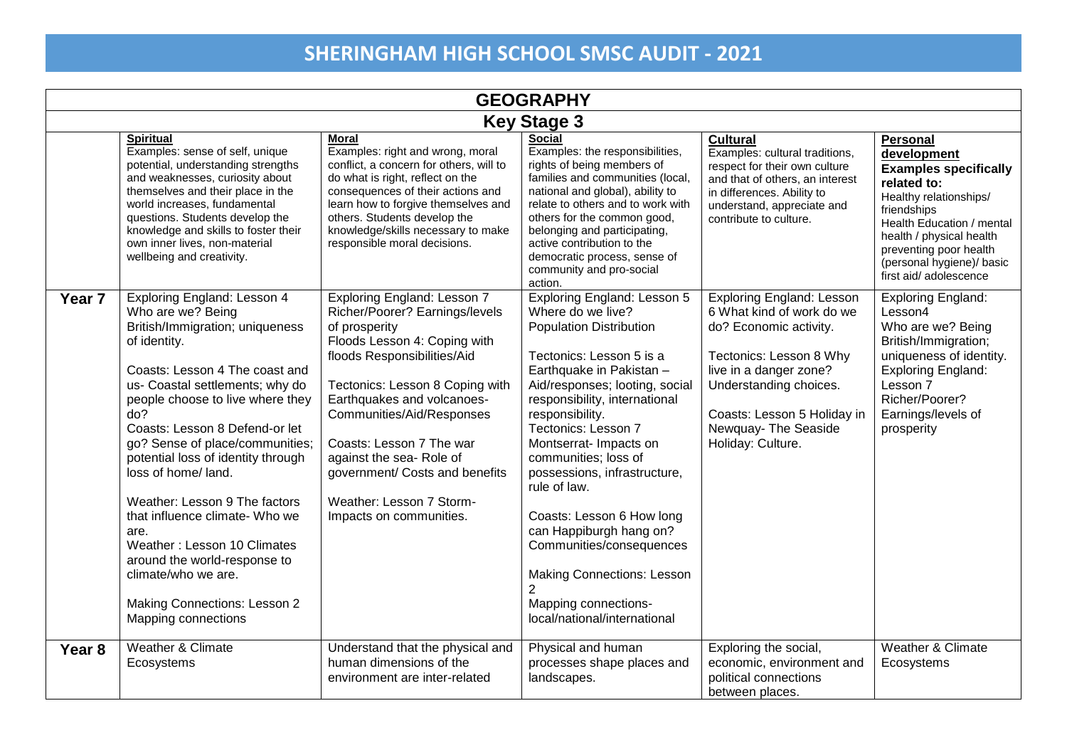| <b>GEOGRAPHY</b>   |                                                                                                                                                                                                                                                                                                                                                                                                                                                                                                                                                                                     |                                                                                                                                                                                                                                                                                                                                                                                                     |                                                                                                                                                                                                                                                                                                                                                                                                                                                                                                                                            |                                                                                                                                                                                                                                                    |                                                                                                                                                                                                                                                           |  |
|--------------------|-------------------------------------------------------------------------------------------------------------------------------------------------------------------------------------------------------------------------------------------------------------------------------------------------------------------------------------------------------------------------------------------------------------------------------------------------------------------------------------------------------------------------------------------------------------------------------------|-----------------------------------------------------------------------------------------------------------------------------------------------------------------------------------------------------------------------------------------------------------------------------------------------------------------------------------------------------------------------------------------------------|--------------------------------------------------------------------------------------------------------------------------------------------------------------------------------------------------------------------------------------------------------------------------------------------------------------------------------------------------------------------------------------------------------------------------------------------------------------------------------------------------------------------------------------------|----------------------------------------------------------------------------------------------------------------------------------------------------------------------------------------------------------------------------------------------------|-----------------------------------------------------------------------------------------------------------------------------------------------------------------------------------------------------------------------------------------------------------|--|
| <b>Key Stage 3</b> |                                                                                                                                                                                                                                                                                                                                                                                                                                                                                                                                                                                     |                                                                                                                                                                                                                                                                                                                                                                                                     |                                                                                                                                                                                                                                                                                                                                                                                                                                                                                                                                            |                                                                                                                                                                                                                                                    |                                                                                                                                                                                                                                                           |  |
|                    | <b>Spiritual</b><br>Examples: sense of self, unique<br>potential, understanding strengths<br>and weaknesses, curiosity about<br>themselves and their place in the<br>world increases, fundamental<br>questions. Students develop the<br>knowledge and skills to foster their<br>own inner lives, non-material<br>wellbeing and creativity.                                                                                                                                                                                                                                          | <b>Moral</b><br>Examples: right and wrong, moral<br>conflict, a concern for others, will to<br>do what is right, reflect on the<br>consequences of their actions and<br>learn how to forgive themselves and<br>others. Students develop the<br>knowledge/skills necessary to make<br>responsible moral decisions.                                                                                   | <b>Social</b><br>Examples: the responsibilities,<br>rights of being members of<br>families and communities (local,<br>national and global), ability to<br>relate to others and to work with<br>others for the common good,<br>belonging and participating,<br>active contribution to the<br>democratic process, sense of<br>community and pro-social<br>action.                                                                                                                                                                            | <b>Cultural</b><br>Examples: cultural traditions,<br>respect for their own culture<br>and that of others, an interest<br>in differences. Ability to<br>understand, appreciate and<br>contribute to culture.                                        | Personal<br>development<br><b>Examples specifically</b><br>related to:<br>Healthy relationships/<br>friendships<br>Health Education / mental<br>health / physical health<br>preventing poor health<br>(personal hygiene)/ basic<br>first aid/ adolescence |  |
| Year <sub>7</sub>  | Exploring England: Lesson 4<br>Who are we? Being<br>British/Immigration; uniqueness<br>of identity.<br>Coasts: Lesson 4 The coast and<br>us- Coastal settlements; why do<br>people choose to live where they<br>do?<br>Coasts: Lesson 8 Defend-or let<br>go? Sense of place/communities;<br>potential loss of identity through<br>loss of home/land.<br>Weather: Lesson 9 The factors<br>that influence climate- Who we<br>are.<br>Weather: Lesson 10 Climates<br>around the world-response to<br>climate/who we are.<br><b>Making Connections: Lesson 2</b><br>Mapping connections | <b>Exploring England: Lesson 7</b><br>Richer/Poorer? Earnings/levels<br>of prosperity<br>Floods Lesson 4: Coping with<br>floods Responsibilities/Aid<br>Tectonics: Lesson 8 Coping with<br>Earthquakes and volcanoes-<br>Communities/Aid/Responses<br>Coasts: Lesson 7 The war<br>against the sea- Role of<br>government/ Costs and benefits<br>Weather: Lesson 7 Storm-<br>Impacts on communities. | Exploring England: Lesson 5<br>Where do we live?<br><b>Population Distribution</b><br>Tectonics: Lesson 5 is a<br>Earthquake in Pakistan -<br>Aid/responses; looting, social<br>responsibility, international<br>responsibility.<br>Tectonics: Lesson 7<br>Montserrat- Impacts on<br>communities; loss of<br>possessions, infrastructure,<br>rule of law.<br>Coasts: Lesson 6 How long<br>can Happiburgh hang on?<br>Communities/consequences<br><b>Making Connections: Lesson</b><br>Mapping connections-<br>local/national/international | <b>Exploring England: Lesson</b><br>6 What kind of work do we<br>do? Economic activity.<br>Tectonics: Lesson 8 Why<br>live in a danger zone?<br>Understanding choices.<br>Coasts: Lesson 5 Holiday in<br>Newquay- The Seaside<br>Holiday: Culture. | <b>Exploring England:</b><br>Lesson4<br>Who are we? Being<br>British/Immigration;<br>uniqueness of identity.<br><b>Exploring England:</b><br>Lesson 7<br>Richer/Poorer?<br>Earnings/levels of<br>prosperity                                               |  |
| Year <sub>8</sub>  | Weather & Climate<br>Ecosystems                                                                                                                                                                                                                                                                                                                                                                                                                                                                                                                                                     | Understand that the physical and<br>human dimensions of the<br>environment are inter-related                                                                                                                                                                                                                                                                                                        | Physical and human<br>processes shape places and<br>landscapes.                                                                                                                                                                                                                                                                                                                                                                                                                                                                            | Exploring the social,<br>economic, environment and<br>political connections<br>between places.                                                                                                                                                     | Weather & Climate<br>Ecosystems                                                                                                                                                                                                                           |  |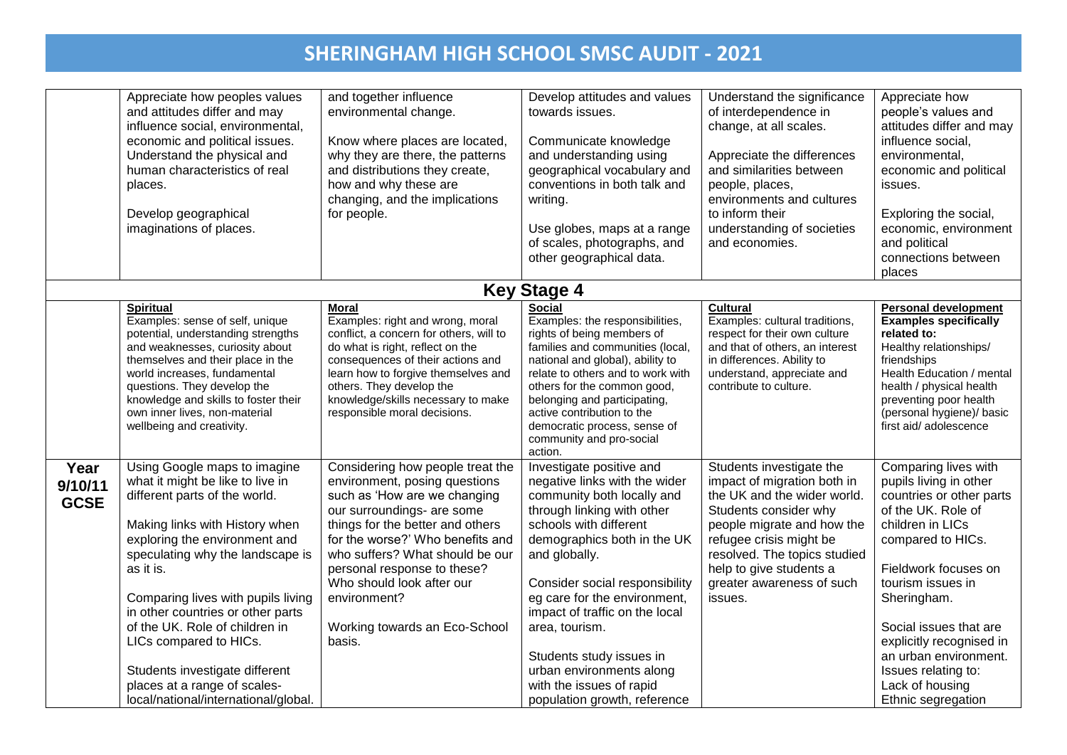|                                | Appreciate how peoples values<br>and attitudes differ and may<br>influence social, environmental,<br>economic and political issues.<br>Understand the physical and<br>human characteristics of real<br>places.<br>Develop geographical<br>imaginations of places.                                                                                                                                                                                                      | and together influence<br>environmental change.<br>Know where places are located,<br>why they are there, the patterns<br>and distributions they create,<br>how and why these are<br>changing, and the implications<br>for people.                                                                                                                                 | Develop attitudes and values<br>towards issues.<br>Communicate knowledge<br>and understanding using<br>geographical vocabulary and<br>conventions in both talk and<br>writing.<br>Use globes, maps at a range<br>of scales, photographs, and<br>other geographical data.                                                                                                                                                                  | Understand the significance<br>of interdependence in<br>change, at all scales.<br>Appreciate the differences<br>and similarities between<br>people, places,<br>environments and cultures<br>to inform their<br>understanding of societies<br>and economies.                 | Appreciate how<br>people's values and<br>attitudes differ and may<br>influence social,<br>environmental,<br>economic and political<br>issues.<br>Exploring the social,<br>economic, environment<br>and political<br>connections between<br>places                                                                                                    |
|--------------------------------|------------------------------------------------------------------------------------------------------------------------------------------------------------------------------------------------------------------------------------------------------------------------------------------------------------------------------------------------------------------------------------------------------------------------------------------------------------------------|-------------------------------------------------------------------------------------------------------------------------------------------------------------------------------------------------------------------------------------------------------------------------------------------------------------------------------------------------------------------|-------------------------------------------------------------------------------------------------------------------------------------------------------------------------------------------------------------------------------------------------------------------------------------------------------------------------------------------------------------------------------------------------------------------------------------------|-----------------------------------------------------------------------------------------------------------------------------------------------------------------------------------------------------------------------------------------------------------------------------|------------------------------------------------------------------------------------------------------------------------------------------------------------------------------------------------------------------------------------------------------------------------------------------------------------------------------------------------------|
|                                |                                                                                                                                                                                                                                                                                                                                                                                                                                                                        |                                                                                                                                                                                                                                                                                                                                                                   | <b>Key Stage 4</b>                                                                                                                                                                                                                                                                                                                                                                                                                        |                                                                                                                                                                                                                                                                             |                                                                                                                                                                                                                                                                                                                                                      |
|                                | <b>Spiritual</b><br>Examples: sense of self, unique<br>potential, understanding strengths<br>and weaknesses, curiosity about<br>themselves and their place in the<br>world increases, fundamental<br>questions. They develop the<br>knowledge and skills to foster their<br>own inner lives, non-material<br>wellbeing and creativity.                                                                                                                                 | <b>Moral</b><br>Examples: right and wrong, moral<br>conflict, a concern for others, will to<br>do what is right, reflect on the<br>consequences of their actions and<br>learn how to forgive themselves and<br>others. They develop the<br>knowledge/skills necessary to make<br>responsible moral decisions.                                                     | <b>Social</b><br>Examples: the responsibilities,<br>rights of being members of<br>families and communities (local,<br>national and global), ability to<br>relate to others and to work with<br>others for the common good,<br>belonging and participating,<br>active contribution to the<br>democratic process, sense of<br>community and pro-social<br>action.                                                                           | <b>Cultural</b><br>Examples: cultural traditions,<br>respect for their own culture<br>and that of others, an interest<br>in differences. Ability to<br>understand, appreciate and<br>contribute to culture.                                                                 | Personal development<br><b>Examples specifically</b><br>related to:<br>Healthy relationships/<br>friendships<br>Health Education / mental<br>health / physical health<br>preventing poor health<br>(personal hygiene)/ basic<br>first aid/adolescence                                                                                                |
| Year<br>9/10/11<br><b>GCSE</b> | Using Google maps to imagine<br>what it might be like to live in<br>different parts of the world.<br>Making links with History when<br>exploring the environment and<br>speculating why the landscape is<br>as it is.<br>Comparing lives with pupils living<br>in other countries or other parts<br>of the UK. Role of children in<br>LICs compared to HICs.<br>Students investigate different<br>places at a range of scales-<br>local/national/international/global. | Considering how people treat the<br>environment, posing questions<br>such as 'How are we changing<br>our surroundings- are some<br>things for the better and others<br>for the worse?' Who benefits and<br>who suffers? What should be our<br>personal response to these?<br>Who should look after our<br>environment?<br>Working towards an Eco-School<br>basis. | Investigate positive and<br>negative links with the wider<br>community both locally and<br>through linking with other<br>schools with different<br>demographics both in the UK<br>and globally.<br>Consider social responsibility<br>eg care for the environment,<br>impact of traffic on the local<br>area, tourism.<br>Students study issues in<br>urban environments along<br>with the issues of rapid<br>population growth, reference | Students investigate the<br>impact of migration both in<br>the UK and the wider world.<br>Students consider why<br>people migrate and how the<br>refugee crisis might be<br>resolved. The topics studied<br>help to give students a<br>greater awareness of such<br>issues. | Comparing lives with<br>pupils living in other<br>countries or other parts<br>of the UK. Role of<br>children in LICs<br>compared to HICs.<br>Fieldwork focuses on<br>tourism issues in<br>Sheringham.<br>Social issues that are<br>explicitly recognised in<br>an urban environment.<br>Issues relating to:<br>Lack of housing<br>Ethnic segregation |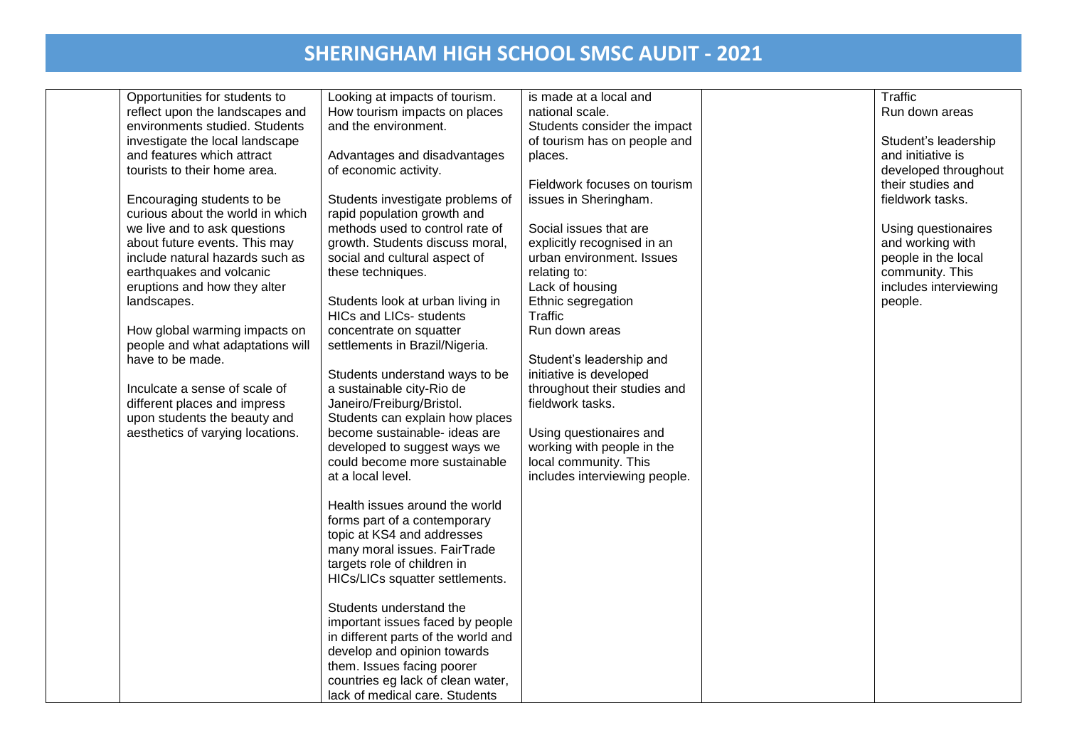| Opportunities for students to    | Looking at impacts of tourism.      | is made at a local and        | Traffic               |
|----------------------------------|-------------------------------------|-------------------------------|-----------------------|
| reflect upon the landscapes and  | How tourism impacts on places       | national scale.               | Run down areas        |
| environments studied. Students   | and the environment.                | Students consider the impact  |                       |
| investigate the local landscape  |                                     | of tourism has on people and  | Student's leadership  |
| and features which attract       | Advantages and disadvantages        | places.                       | and initiative is     |
| tourists to their home area.     | of economic activity.               |                               | developed throughout  |
|                                  |                                     | Fieldwork focuses on tourism  | their studies and     |
| Encouraging students to be       | Students investigate problems of    | issues in Sheringham.         | fieldwork tasks.      |
| curious about the world in which | rapid population growth and         |                               |                       |
| we live and to ask questions     | methods used to control rate of     | Social issues that are        | Using questionaires   |
| about future events. This may    | growth. Students discuss moral,     | explicitly recognised in an   | and working with      |
| include natural hazards such as  | social and cultural aspect of       | urban environment. Issues     | people in the local   |
| earthquakes and volcanic         | these techniques.                   | relating to:                  | community. This       |
| eruptions and how they alter     |                                     | Lack of housing               | includes interviewing |
| landscapes.                      | Students look at urban living in    | Ethnic segregation            | people.               |
|                                  | <b>HICs and LICs- students</b>      | Traffic                       |                       |
| How global warming impacts on    | concentrate on squatter             | Run down areas                |                       |
| people and what adaptations will | settlements in Brazil/Nigeria.      |                               |                       |
| have to be made.                 |                                     | Student's leadership and      |                       |
|                                  | Students understand ways to be      | initiative is developed       |                       |
| Inculcate a sense of scale of    | a sustainable city-Rio de           | throughout their studies and  |                       |
| different places and impress     | Janeiro/Freiburg/Bristol.           | fieldwork tasks.              |                       |
| upon students the beauty and     | Students can explain how places     |                               |                       |
| aesthetics of varying locations. | become sustainable- ideas are       | Using questionaires and       |                       |
|                                  | developed to suggest ways we        | working with people in the    |                       |
|                                  | could become more sustainable       | local community. This         |                       |
|                                  | at a local level.                   | includes interviewing people. |                       |
|                                  |                                     |                               |                       |
|                                  | Health issues around the world      |                               |                       |
|                                  | forms part of a contemporary        |                               |                       |
|                                  | topic at KS4 and addresses          |                               |                       |
|                                  |                                     |                               |                       |
|                                  | many moral issues. FairTrade        |                               |                       |
|                                  | targets role of children in         |                               |                       |
|                                  | HICs/LICs squatter settlements.     |                               |                       |
|                                  |                                     |                               |                       |
|                                  | Students understand the             |                               |                       |
|                                  | important issues faced by people    |                               |                       |
|                                  | in different parts of the world and |                               |                       |
|                                  | develop and opinion towards         |                               |                       |
|                                  | them. Issues facing poorer          |                               |                       |
|                                  | countries eg lack of clean water,   |                               |                       |
|                                  | lack of medical care. Students      |                               |                       |